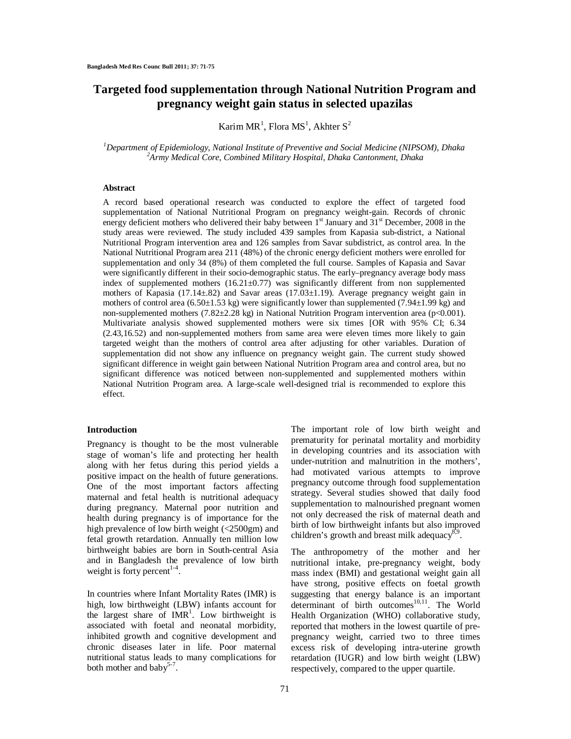# **Targeted food supplementation through National Nutrition Program and pregnancy weight gain status in selected upazilas**

Karim MR<sup>1</sup>, Flora MS<sup>1</sup>, Akhter S<sup>2</sup>

*<sup>1</sup>Department of Epidemiology, National Institute of Preventive and Social Medicine (NIPSOM), Dhaka <sup>2</sup>Army Medical Core, Combined Military Hospital, Dhaka Cantonment, Dhaka*

### **Abstract**

A record based operational research was conducted to explore the effect of targeted food supplementation of National Nutritional Program on pregnancy weight-gain. Records of chronic energy deficient mothers who delivered their baby between  $1<sup>st</sup>$  January and  $31<sup>st</sup>$  December, 2008 in the study areas were reviewed. The study included 439 samples from Kapasia sub-district, a National Nutritional Program intervention area and 126 samples from Savar subdistrict, as control area. In the National Nutritional Program area 211 (48%) of the chronic energy deficient mothers were enrolled for supplementation and only 34 (8%) of them completed the full course. Samples of Kapasia and Savar were significantly different in their socio-demographic status. The early–pregnancy average body mass index of supplemented mothers  $(16.21 \pm 0.77)$  was significantly different from non supplemented mothers of Kapasia (17.14±.82) and Savar areas (17.03±1.19). Average pregnancy weight gain in mothers of control area (6.50 $\pm$ 1.53 kg) were significantly lower than supplemented (7.94 $\pm$ 1.99 kg) and non-supplemented mothers (7.82±2.28 kg) in National Nutrition Program intervention area (p<0.001). Multivariate analysis showed supplemented mothers were six times [OR with 95% CI; 6.34 (2.43,16.52) and non-supplemented mothers from same area were eleven times more likely to gain targeted weight than the mothers of control area after adjusting for other variables. Duration of supplementation did not show any influence on pregnancy weight gain. The current study showed significant difference in weight gain between National Nutrition Program area and control area, but no significant difference was noticed between non-supplemented and supplemented mothers within National Nutrition Program area. A large-scale well-designed trial is recommended to explore this effect.

#### **Introduction**

Pregnancy is thought to be the most vulnerable stage of woman's life and protecting her health along with her fetus during this period yields a positive impact on the health of future generations. One of the most important factors affecting maternal and fetal health is nutritional adequacy during pregnancy. Maternal poor nutrition and health during pregnancy is of importance for the high prevalence of low birth weight (<2500gm) and fetal growth retardation. Annually ten million low birthweight babies are born in South-central Asia and in Bangladesh the prevalence of low birth weight is forty percent $1-4$ .

In countries where Infant Mortality Rates (IMR) is high, low birthweight (LBW) infants account for the largest share of  $IMR<sup>1</sup>$ . Low birthweight is associated with foetal and neonatal morbidity, inhibited growth and cognitive development and chronic diseases later in life. Poor maternal nutritional status leads to many complications for both mother and baby<sup>5-7</sup>.

The important role of low birth weight and prematurity for perinatal mortality and morbidity in developing countries and its association with under-nutrition and malnutrition in the mothers', had motivated various attempts to improve pregnancy outcome through food supplementation strategy. Several studies showed that daily food supplementation to malnourished pregnant women not only decreased the risk of maternal death and birth of low birthweight infants but also improved children's growth and breast milk adequacy $^{8,9}$ .

The anthropometry of the mother and her nutritional intake, pre-pregnancy weight, body mass index (BMI) and gestational weight gain all have strong, positive effects on foetal growth suggesting that energy balance is an important determinant of birth outcomes<sup>10,11</sup>. The World Health Organization (WHO) collaborative study, reported that mothers in the lowest quartile of prepregnancy weight, carried two to three times excess risk of developing intra-uterine growth retardation (IUGR) and low birth weight (LBW) respectively, compared to the upper quartile.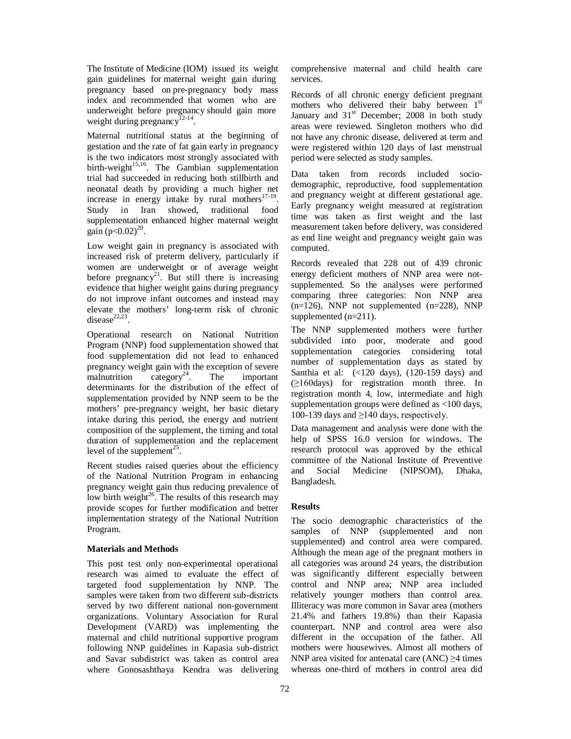The Institute of Medicine (IOM) issued its weight gain guidelines for maternal weight gain during pregnancy based on pre-pregnancy body mass index and recommended that women who are underweight before pregnancy should gain more weight during pregnancy<sup>12-14</sup>.

Maternal nutritional status at the beginning of gestation and the rate of fat gain early in pregnancy is the two indicators most strongly associated with  $birth-weight<sup>15,16</sup>$ . The Gambian supplementation trial had succeeded in reducing both stillbirth and neonatal death by providing a much higher net increase in energy intake by rural mothers $17-19$ . Study in Iran showed, traditional food supplementation enhanced higher maternal weight  $\text{gain}$  (p<0.02)<sup>20</sup>.

Low weight gain in pregnancy is associated with increased risk of preterm delivery, particularly if women are underweight or of average weight before pregnancy<sup>21</sup>. But still there is increasing evidence that higher weight gains during pregnancy do not improve infant outcomes and instead may elevate the mothers' long-term risk of chronic disease $^{22,23}$ .

Operational research on National Nutrition Program (NNP) food supplementation showed that food supplementation did not lead to enhanced pregnancy weight gain with the exception of severe malnutrition category<sup>24</sup>. . The important determinants for the distribution of the effect of supplementation provided by NNP seem to be the mothers' pre-pregnancy weight, her basic dietary intake during this period, the energy and nutrient composition of the supplement, the timing and total duration of supplementation and the replacement level of the supplement<sup>25</sup>.

Recent studies raised queries about the efficiency of the National Nutrition Program in enhancing pregnancy weight gain thus reducing prevalence of low birth weight $^{26}$ . The results of this research may provide scopes for further modification and better implementation strategy of the National Nutrition Program.

## **Materials and Methods**

This post test only non-experimental operational research was aimed to evaluate the effect of targeted food supplementation by NNP. The samples were taken from two different sub-districts served by two different national non-government organizations. Voluntary Association for Rural Development (VARD) was implementing the maternal and child nutritional supportive program following NNP guidelines in Kapasia sub-district and Savar subdistrict was taken as control area where Gonosashthaya Kendra was delivering comprehensive maternal and child health care services.

Records of all chronic energy deficient pregnant mothers who delivered their baby between  $1<sup>st</sup>$ January and  $31<sup>st</sup>$  December; 2008 in both study areas were reviewed. Singleton mothers who did not have any chronic disease, delivered at term and were registered within 120 days of last menstrual period were selected as study samples.

Data taken from records included sociodemographic, reproductive, food supplementation and pregnancy weight at different gestational age. Early pregnancy weight measured at registration time was taken as first weight and the last measurement taken before delivery, was considered as end line weight and pregnancy weight gain was computed.

Records revealed that 228 out of 439 chronic energy deficient mothers of NNP area were notsupplemented. So the analyses were performed comparing three categories: Non NNP area  $(n=126)$ , NNP not supplemented  $(n=228)$ , NNP supplemented (n=211).

The NNP supplemented mothers were further subdivided into poor, moderate and good supplementation categories considering total number of supplementation days as stated by Santhia et al: (<120 days), (120-159 days) and (≥160days) for registration month three. In registration month 4, low, intermediate and high supplementation groups were defined as <100 days, 100-139 days and ≥140 days, respectively.

Data management and analysis were done with the help of SPSS 16.0 version for windows. The research protocol was approved by the ethical committee of the National Institute of Preventive and Social Medicine (NIPSOM), Dhaka, Bangladesh.

## **Results**

The socio demographic characteristics of the samples of NNP (supplemented and non supplemented) and control area were compared. Although the mean age of the pregnant mothers in all categories was around 24 years, the distribution was significantly different especially between control and NNP area; NNP area included relatively younger mothers than control area. Illiteracy was more common in Savar area (mothers 21.4% and fathers 19.8%) than their Kapasia counterpart. NNP and control area were also different in the occupation of the father. All mothers were housewives. Almost all mothers of NNP area visited for antenatal care  $(ANC) \geq 4$  times whereas one-third of mothers in control area did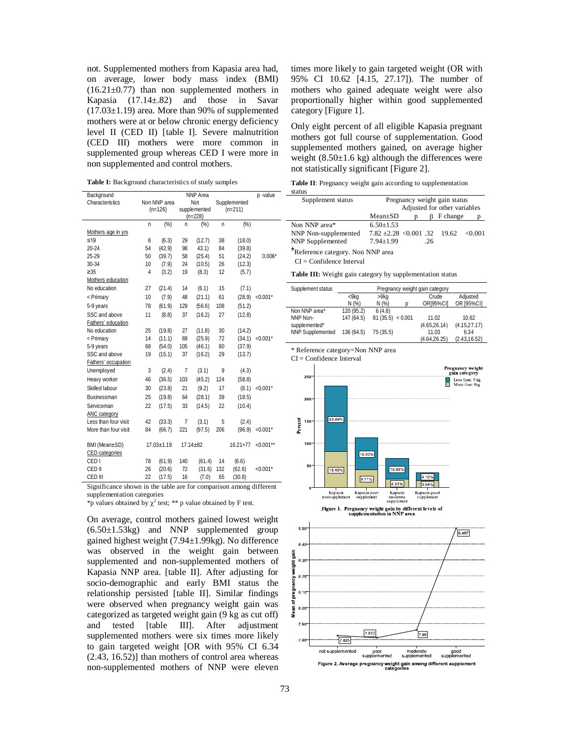not. Supplemented mothers from Kapasia area had, on average, lower body mass index (BMI)  $(16.21\pm0.77)$  than non supplemented mothers in Kapasia (17.14±.82) and those in Savar  $(17.03\pm1.19)$  area. More than 90% of supplemented mothers were at or below chronic energy deficiency level II (CED II) [table I]. Severe malnutrition (CED III) mothers were more common in supplemented group whereas CED I were more in non supplemented and control mothers.

**Table I:** Background characteristics of study samples

| Characteristics<br>Non NNP area<br>Not<br>Supplemented<br>$(n=126)$<br>supplemented<br>$(n=211)$<br>$(n=228)$<br>$(\%)$<br>$(\%)$<br>$(\%)$<br>n<br>n<br>n<br>Mothers age in yrs<br>≤19<br>8<br>(6.3)<br>29<br>(12.7)<br>38<br>(18.0)<br>(42.9)<br>98<br>84<br>$20 - 24$<br>54<br>43.1<br>(39.8)<br>$25-29$<br>50<br>(39.7)<br>58<br>(25.4)<br>51<br>(24.2)<br>$0.006*$<br>30-34<br>24<br>26<br>10<br>(7.9)<br>(10.5)<br>(12.3)<br>$\geq 35$<br>4<br>19<br>12<br>(5.7)<br>(3.2)<br>(8.3)<br>Mothers education<br>No education<br>27<br>(21.4)<br>14<br>(6.1)<br>15<br>(7.1) |
|-----------------------------------------------------------------------------------------------------------------------------------------------------------------------------------------------------------------------------------------------------------------------------------------------------------------------------------------------------------------------------------------------------------------------------------------------------------------------------------------------------------------------------------------------------------------------------|
|                                                                                                                                                                                                                                                                                                                                                                                                                                                                                                                                                                             |
|                                                                                                                                                                                                                                                                                                                                                                                                                                                                                                                                                                             |
|                                                                                                                                                                                                                                                                                                                                                                                                                                                                                                                                                                             |
|                                                                                                                                                                                                                                                                                                                                                                                                                                                                                                                                                                             |
|                                                                                                                                                                                                                                                                                                                                                                                                                                                                                                                                                                             |
|                                                                                                                                                                                                                                                                                                                                                                                                                                                                                                                                                                             |
|                                                                                                                                                                                                                                                                                                                                                                                                                                                                                                                                                                             |
|                                                                                                                                                                                                                                                                                                                                                                                                                                                                                                                                                                             |
|                                                                                                                                                                                                                                                                                                                                                                                                                                                                                                                                                                             |
|                                                                                                                                                                                                                                                                                                                                                                                                                                                                                                                                                                             |
|                                                                                                                                                                                                                                                                                                                                                                                                                                                                                                                                                                             |
|                                                                                                                                                                                                                                                                                                                                                                                                                                                                                                                                                                             |
| (7.9)<br>(21.1)<br>61<br>(28.9)<br>< Primary<br>10<br>48<br>$< 0.001*$                                                                                                                                                                                                                                                                                                                                                                                                                                                                                                      |
| 78<br>(61.9)<br>129<br>(56.6)<br>108<br>(51.2)<br>5-9 years                                                                                                                                                                                                                                                                                                                                                                                                                                                                                                                 |
| SSC and above<br>11<br>(8.8)<br>37<br>(16.2)<br>27<br>(12.8)                                                                                                                                                                                                                                                                                                                                                                                                                                                                                                                |
| Fathers' education                                                                                                                                                                                                                                                                                                                                                                                                                                                                                                                                                          |
| No education<br>25<br>27<br>30<br>(19.8)<br>(11.8)<br>(14.2)                                                                                                                                                                                                                                                                                                                                                                                                                                                                                                                |
| 69<br>72<br>14<br>(11.1)<br>(25.9)<br>(34.1)<br>$< 0.001*$<br>< Primary                                                                                                                                                                                                                                                                                                                                                                                                                                                                                                     |
| 5-9 years<br>(54.0)<br>105<br>80<br>68<br>(46.1)<br>(37.9)                                                                                                                                                                                                                                                                                                                                                                                                                                                                                                                  |
| SSC and above<br>37<br>19<br>(15.1)<br>(16.2)<br>29<br>(13.7)                                                                                                                                                                                                                                                                                                                                                                                                                                                                                                               |
| Fathers' occupation                                                                                                                                                                                                                                                                                                                                                                                                                                                                                                                                                         |
| Unemployed<br>3<br>(2.4)<br>$\overline{7}$<br>(3.1)<br>9<br>(4.3)                                                                                                                                                                                                                                                                                                                                                                                                                                                                                                           |
| Heavy worker<br>(36.5)<br>103<br>(45.2)<br>(58.8)<br>46<br>124                                                                                                                                                                                                                                                                                                                                                                                                                                                                                                              |
| Skilled labour<br>21<br>30<br>(23.8)<br>(9.2)<br>17<br>(8.1)<br>$< 0.001*$                                                                                                                                                                                                                                                                                                                                                                                                                                                                                                  |
| 25<br>64<br>39<br>Businessman<br>(19.8)<br>(28.1)<br>(18.5)                                                                                                                                                                                                                                                                                                                                                                                                                                                                                                                 |
| Serviceman<br>22<br>(17.5)<br>33<br>22<br>(10.4)<br>(14.5)                                                                                                                                                                                                                                                                                                                                                                                                                                                                                                                  |
| ANC category                                                                                                                                                                                                                                                                                                                                                                                                                                                                                                                                                                |
| Less than four visit<br>42<br>(33.3)<br>7<br>(3.1)<br>5<br>(2.4)                                                                                                                                                                                                                                                                                                                                                                                                                                                                                                            |
| More than four visit<br>84<br>(66.7)<br>221<br>(97.5)<br>(96.9)<br>206<br>$< 0.001*$                                                                                                                                                                                                                                                                                                                                                                                                                                                                                        |
|                                                                                                                                                                                                                                                                                                                                                                                                                                                                                                                                                                             |
| BMI (Mean±SD)<br>$17.03 \pm 1.19$<br>$17.14 \pm 82$<br>$16.21 + 77$<br>$< 0.001**$                                                                                                                                                                                                                                                                                                                                                                                                                                                                                          |
| CED categories                                                                                                                                                                                                                                                                                                                                                                                                                                                                                                                                                              |
| CED <sub>I</sub><br>78<br>(61.9)<br>140<br>(61.4)<br>14<br>(6.6)                                                                                                                                                                                                                                                                                                                                                                                                                                                                                                            |
| CED II<br>26<br>72<br>(20.6)<br>(31.6)<br>132<br>(62.6)<br>$< 0.001*$                                                                                                                                                                                                                                                                                                                                                                                                                                                                                                       |
| CED III<br>22<br>16<br>(7.0)<br>(30.8)<br>(17.5)<br>65<br>$\mathbf{e}$ . $\mathbf{e}$<br>$\mathbf{r}$ .<br>$\bullet$<br>٠.<br>2.111<br>1.00                                                                                                                                                                                                                                                                                                                                                                                                                                 |

Significance shown in the table are for comparison among different supplementation categories

\*p values obtained by  $\chi^2$  test; \*\* p value obtained by F test.

On average, control mothers gained lowest weight  $(6.50\pm1.53kg)$  and NNP supplemented group gained highest weight (7.94±1.99kg). No difference was observed in the weight gain between supplemented and non-supplemented mothers of Kapasia NNP area. [table II]. After adjusting for socio-demographic and early BMI status the relationship persisted [table II]. Similar findings were observed when pregnancy weight gain was categorized as targeted weight gain (9 kg as cut off) and tested [table III]. After adjustment supplemented mothers were six times more likely to gain targeted weight [OR with 95% CI 6.34 (2.43, 16.52)] than mothers of control area whereas non-supplemented mothers of NNP were eleven

times more likely to gain targeted weight (OR with 95% CI 10.62 [4.15, 27.17]). The number of mothers who gained adequate weight were also proportionally higher within good supplemented category [Figure 1].

Only eight percent of all eligible Kapasia pregnant mothers got full course of supplementation. Good supplemented mothers gained, on average higher weight  $(8.50\pm1.6 \text{ kg})$  although the differences were not statistically significant [Figure 2].

| Table II: Pregnancy weight gain according to supplementation |
|--------------------------------------------------------------|
|                                                              |

| status                           |                                     |   |     |          |        |  |
|----------------------------------|-------------------------------------|---|-----|----------|--------|--|
| Supplement status                | Pregnancy weight gain status        |   |     |          |        |  |
|                                  | Adjusted for other variables        |   |     |          |        |  |
|                                  | $Mean \pm SD$                       | n | ß   | F change |        |  |
| Non NNP area*                    | $6.50 + 1.53$                       |   |     |          |        |  |
| NNP Non-supplemented             | $7.82 \pm 2.28 \le 0.001$ .32 19.62 |   |     |          | <0.001 |  |
| NNP Supplemented                 | $7.94 \pm 1.99$                     |   | .26 |          |        |  |
| Reference category. Non NNP area |                                     |   |     |          |        |  |
| $CI = Confidence Interval$       |                                     |   |     |          |        |  |
|                                  |                                     |   |     |          |        |  |

**Table III:** Weight gain category by supplementation status

| Supplement status       | Pregnancy weight gain category |                  |   |               |               |  |
|-------------------------|--------------------------------|------------------|---|---------------|---------------|--|
|                         | $<$ 9 $k$ g                    | >9kq             |   | Crude         | Adjusted      |  |
|                         | N(%)                           | N(%)             | n | OR[95%CI]     | OR [95%CI]    |  |
| Non NNP area*           | 120 (95.2)                     | 6(4.8)           |   |               |               |  |
| NNP Non-                | 147 (64.5)                     | 81(35.5) < 0.001 |   | 11.02         | 10.62         |  |
| supplemented*           |                                |                  |   | (4.65, 26.14) | (4.15, 27.17) |  |
| <b>NNP Supplemented</b> | 136 (64.5)                     | 75 (35.5)        |   | 11.03         | 6.34          |  |
|                         |                                |                  |   | (4.64, 26.25) | (2.43, 16.52) |  |

\* Reference category=Non NNP area

CI = Confidence Interval



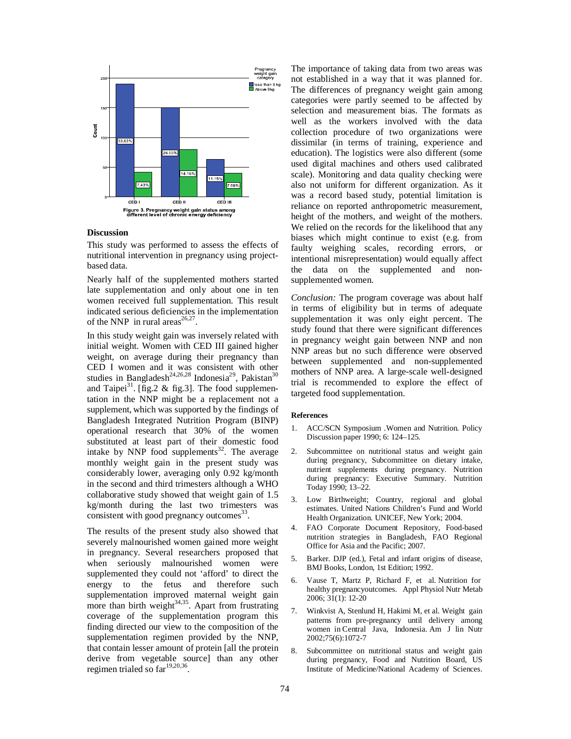

#### **Discussion**

This study was performed to assess the effects of nutritional intervention in pregnancy using projectbased data.

Nearly half of the supplemented mothers started late supplementation and only about one in ten women received full supplementation. This result indicated serious deficiencies in the implementation of the NNP in rural areas<sup>26,27</sup>.

In this study weight gain was inversely related with initial weight. Women with CED III gained higher weight, on average during their pregnancy than CED I women and it was consistent with other studies in Bangladesh<sup>24,26,28</sup> Indonesia<sup>29</sup>, Pakistan<sup>30</sup> and Taipei<sup>31</sup>. [fig.2 & fig.3]. The food supplementation in the NNP might be a replacement not a supplement, which was supported by the findings of Bangladesh Integrated Nutrition Program (BINP) operational research that 30% of the women substituted at least part of their domestic food intake by NNP food supplements $^{32}$ . The average monthly weight gain in the present study was considerably lower, averaging only 0.92 kg/month in the second and third trimesters although a WHO collaborative study showed that weight gain of 1.5 kg/month during the last two trimesters was consistent with good pregnancy outcomes $^{33}$ .

The results of the present study also showed that severely malnourished women gained more weight in pregnancy. Several researchers proposed that when seriously malnourished women were supplemented they could not 'afford' to direct the energy to the fetus and therefore such supplementation improved maternal weight gain more than birth weight $34,35$ . Apart from frustrating coverage of the supplementation program this finding directed our view to the composition of the supplementation regimen provided by the NNP, that contain lesser amount of protein [all the protein derive from vegetable source] than any other regimen trialed so  $far^{19,20,36}$ .

The importance of taking data from two areas was not established in a way that it was planned for. The differences of pregnancy weight gain among categories were partly seemed to be affected by selection and measurement bias. The formats as well as the workers involved with the data collection procedure of two organizations were dissimilar (in terms of training, experience and education). The logistics were also different (some used digital machines and others used calibrated scale). Monitoring and data quality checking were also not uniform for different organization. As it was a record based study, potential limitation is reliance on reported anthropometric measurement, height of the mothers, and weight of the mothers. We relied on the records for the likelihood that any biases which might continue to exist (e.g. from faulty weighing scales, recording errors, or intentional misrepresentation) would equally affect the data on the supplemented and nonsupplemented women.

*Conclusion:* The program coverage was about half in terms of eligibility but in terms of adequate supplementation it was only eight percent. The study found that there were significant differences in pregnancy weight gain between NNP and non NNP areas but no such difference were observed between supplemented and non-supplemented mothers of NNP area. A large-scale well-designed trial is recommended to explore the effect of targeted food supplementation.

#### **References**

- 1. ACC/SCN Symposium .Women and Nutrition. Policy Discussion paper 1990; 6: 124–125.
- 2. Subcommittee on nutritional status and weight gain during pregnancy, Subcommittee on dietary intake, nutrient supplements during pregnancy. Nutrition during pregnancy: Executive Summary. Nutrition Today 1990; 13–22.
- 3. Low Birthweight; Country, regional and global estimates. United Nations Children's Fund and World Health Organization. UNICEF, New York; 2004.
- 4. FAO Corporate Document Repository, Food-based nutrition strategies in Bangladesh, FAO Regional Office for Asia and the Pacific; 2007.
- 5. Barker. DJP (ed.), Fetal and infant origins of disease, BMJ Books, London, 1st Edition; 1992.
- 6. Vause T, Martz P, Richard F, et al. Nutrition for healthy pregnancyoutcomes. Appl Physiol Nutr Metab 2006; 31(1): 12-20
- 7. Winkvist A, Stenlund H, Hakimi M, et al. Weight gain patterns from pre-pregnancy until delivery among women in Central Java, Indonesia. Am J lin Nutr 2002;75(6):1072-7
- 8. Subcommittee on nutritional status and weight gain during pregnancy, Food and Nutrition Board, US Institute of Medicine/National Academy of Sciences.